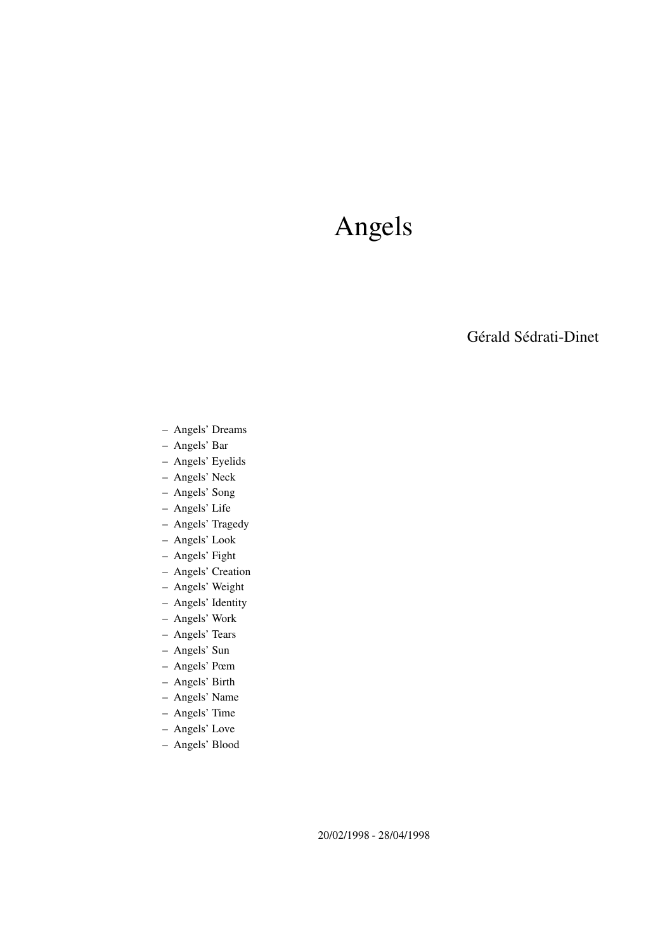# Angels

Gérald Sédrati-Dinet

- Angels' Dreams
- Angels' Bar
- Angels' Eyelids
- Angels' Neck
- Angels' Song
- Angels' Life
- Angels' Tragedy
- Angels' Look
- Angels' Fight
- Angels' Creation
- Angels' Weight
- Angels' Identity
- Angels' Work
- Angels' Tears
- Angels' Sun
- Angels' Pœm
- Angels' Birth
- Angels' Name
- Angels' Time
- Angels' Love
- Angels' Blood

20/02/1998 - 28/04/1998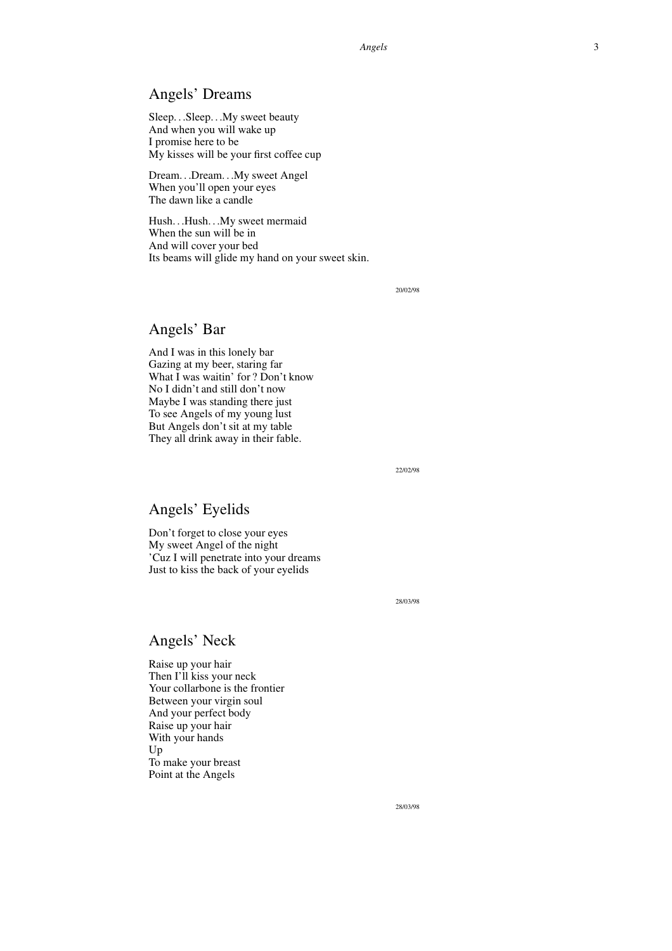#### Angels' Dreams

Sleep. . .Sleep. . .My sweet beauty And when you will wake up I promise here to be My kisses will be your first coffee cup

Dream. . .Dream. . .My sweet Angel When you'll open your eyes The dawn like a candle

Hush. . .Hush. . .My sweet mermaid When the sun will be in And will cover your bed Its beams will glide my hand on your sweet skin.

20/02/98

## Angels' Bar

And I was in this lonely bar Gazing at my beer, staring far What I was waitin' for ? Don't know No I didn't and still don't now Maybe I was standing there just To see Angels of my young lust But Angels don't sit at my table They all drink away in their fable.

22/02/98

#### Angels' Eyelids

Don't forget to close your eyes My sweet Angel of the night 'Cuz I will penetrate into your dreams Just to kiss the back of your eyelids

28/03/98

#### Angels' Neck

Raise up your hair Then I'll kiss your neck Your collarbone is the frontier Between your virgin soul And your perfect body Raise up your hair With your hands Up To make your breast Point at the Angels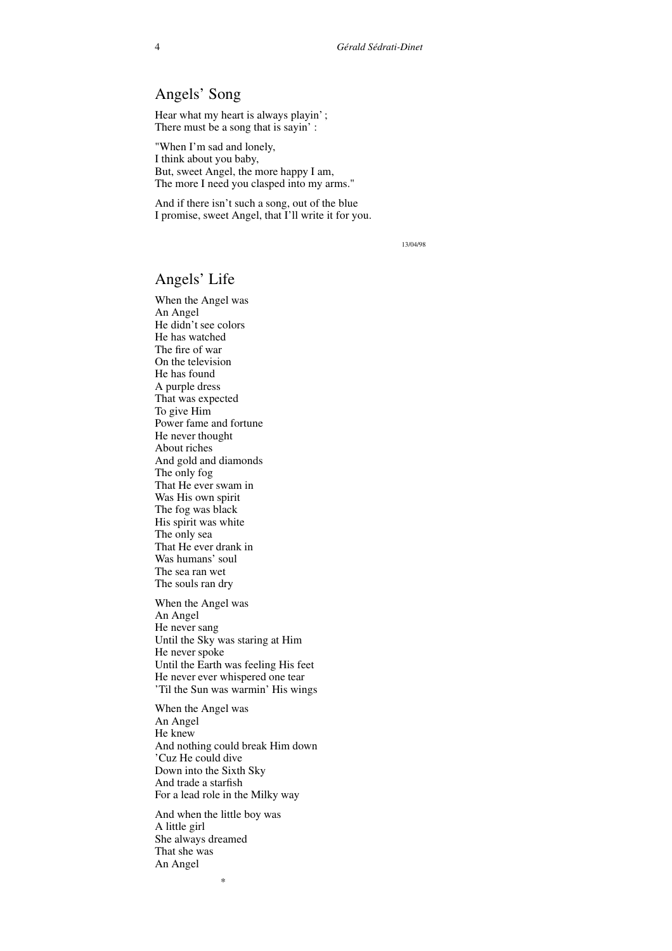## Angels' Song

Hear what my heart is always playin'; There must be a song that is sayin' :

"When I'm sad and lonely, I think about you baby, But, sweet Angel, the more happy I am, The more I need you clasped into my arms."

And if there isn't such a song, out of the blue I promise, sweet Angel, that I'll write it for you.

13/04/98

#### Angels' Life

When the Angel was An Angel He didn't see colors He has watched The fire of war On the television He has found A purple dress That was expected To give Him Power fame and fortune He never thought About riches And gold and diamonds The only fog That He ever swam in Was His own spirit The fog was black His spirit was white The only sea That He ever drank in Was humans' soul The sea ran wet The souls ran dry When the Angel was An Angel He never sang Until the Sky was staring at Him He never spoke Until the Earth was feeling His feet He never ever whispered one tear 'Til the Sun was warmin' His wings When the Angel was An Angel He knew And nothing could break Him down 'Cuz He could dive Down into the Sixth Sky

For a lead role in the Milky way And when the little boy was A little girl She always dreamed That she was An Angel

\*

And trade a starfish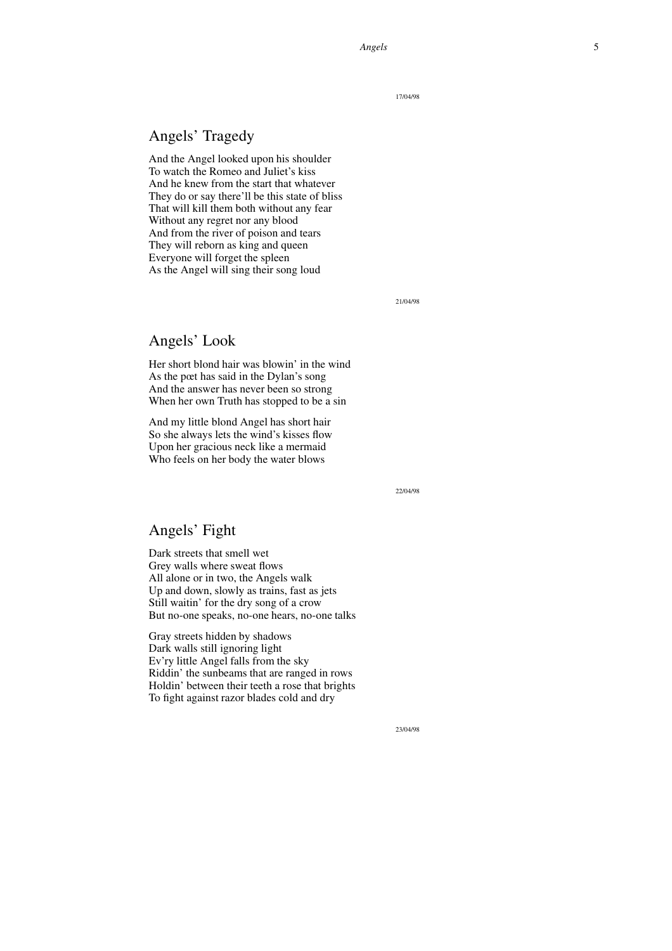17/04/98

## Angels' Tragedy

And the Angel looked upon his shoulder To watch the Romeo and Juliet's kiss And he knew from the start that whatever They do or say there'll be this state of bliss That will kill them both without any fear Without any regret nor any blood And from the river of poison and tears They will reborn as king and queen Everyone will forget the spleen As the Angel will sing their song loud

21/04/98

## Angels' Look

Her short blond hair was blowin' in the wind As the pœt has said in the Dylan's song And the answer has never been so strong When her own Truth has stopped to be a sin

And my little blond Angel has short hair So she always lets the wind's kisses flow Upon her gracious neck like a mermaid Who feels on her body the water blows

22/04/98

#### Angels' Fight

Dark streets that smell wet Grey walls where sweat flows All alone or in two, the Angels walk Up and down, slowly as trains, fast as jets Still waitin' for the dry song of a crow But no-one speaks, no-one hears, no-one talks

Gray streets hidden by shadows Dark walls still ignoring light Ev'ry little Angel falls from the sky Riddin' the sunbeams that are ranged in rows Holdin' between their teeth a rose that brights To fight against razor blades cold and dry

23/04/98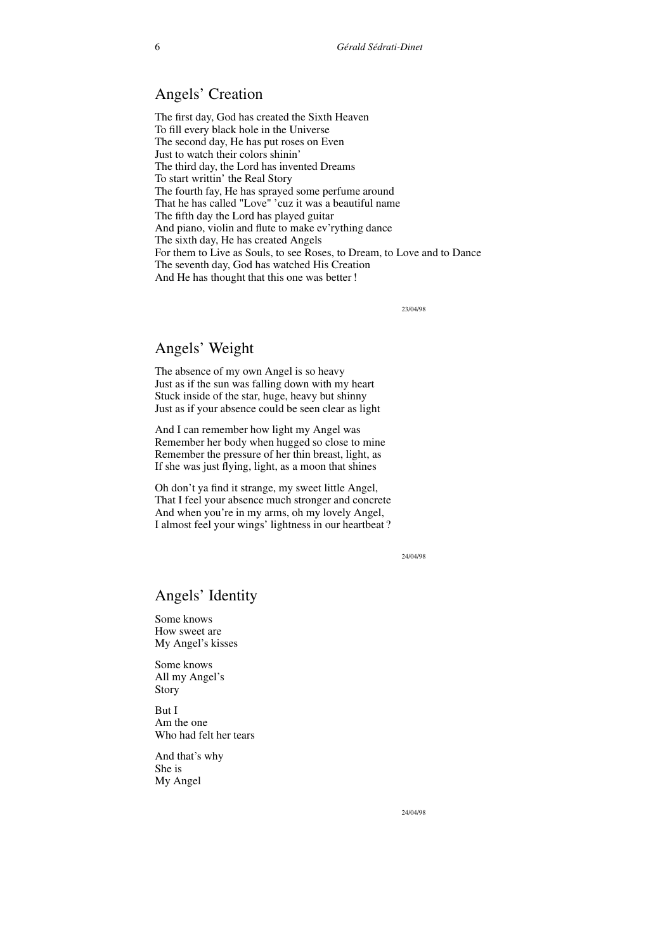## Angels' Creation

The first day, God has created the Sixth Heaven To fill every black hole in the Universe The second day, He has put roses on Even Just to watch their colors shinin' The third day, the Lord has invented Dreams To start writtin' the Real Story The fourth fay, He has sprayed some perfume around That he has called "Love" 'cuz it was a beautiful name The fifth day the Lord has played guitar And piano, violin and flute to make ev'rything dance The sixth day, He has created Angels For them to Live as Souls, to see Roses, to Dream, to Love and to Dance The seventh day, God has watched His Creation And He has thought that this one was better!

23/04/98

#### Angels' Weight

The absence of my own Angel is so heavy Just as if the sun was falling down with my heart Stuck inside of the star, huge, heavy but shinny Just as if your absence could be seen clear as light

And I can remember how light my Angel was Remember her body when hugged so close to mine Remember the pressure of her thin breast, light, as If she was just flying, light, as a moon that shines

Oh don't ya find it strange, my sweet little Angel, That I feel your absence much stronger and concrete And when you're in my arms, oh my lovely Angel, I almost feel your wings' lightness in our heartbeat ?

24/04/98

#### Angels' Identity

Some knows How sweet are My Angel's kisses

Some knows All my Angel's Story

But I Am the one Who had felt her tears

And that's why She is My Angel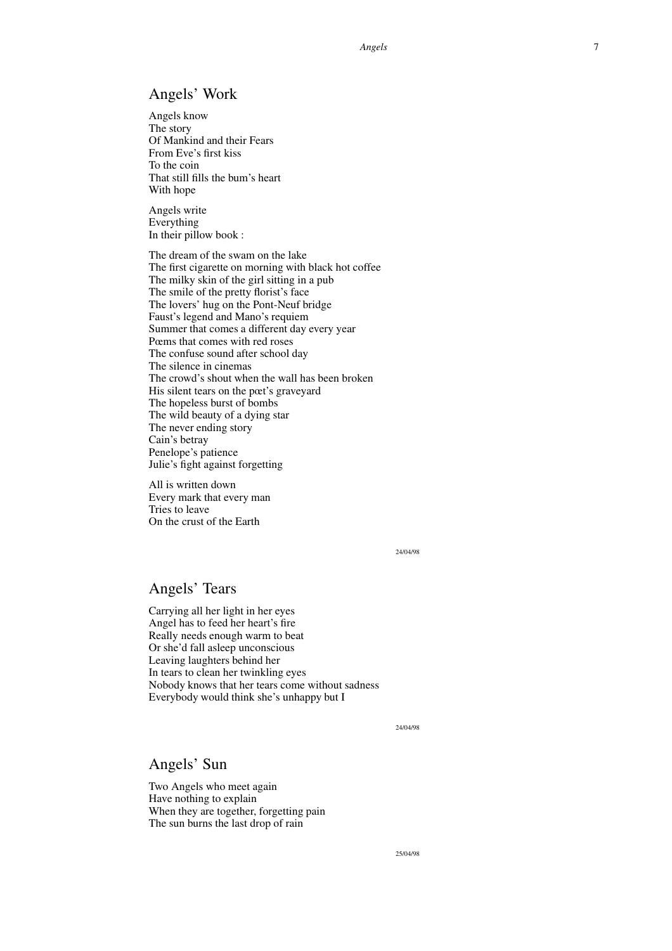## Angels' Work

Angels kno w The story Of Mankind and their Fears From Eve' s first kiss To the coin That still fills the bum' s heart With hope

Angels write Everything In their pillo w book :

The dream of the swam on the lak e The first cigarette on morning with black hot coffee The milk y skin of the girl sitting in a pub The smile of the pretty florist' s face The lo vers' hug on the Pont-Neuf bridge Faust' s legend and Mano' s requiem Summer that comes a different day e very year Pœms that comes with red roses The confuse sound after school day The silence in cinemas The crowd' s shout when the wall has been broken His silent tears on the pœt' s grav eyard The hopeless burst of bombs The wild beauty of a dying star The ne ver ending story Cain' s betray Penelope' s patience Julie' s fight against forgetting

All is written down Every mark that e very man Tries to leav e On the crust of the Earth

24/04/98

## Angels' Tears

Carrying all her light in her eyes Angel has to feed her heart' s fire Really needs enough warm to beat Or she' d fall asleep unconscious Leaving laughters behind her In tears to clean her twinkling eyes Nobody knows that her tears come without sadness Everybody would think she' s unhapp y but I

24/04/98

#### Angels' Sun

Two Angels who meet again Hav e nothing to explain When the y are together , forgetting pain The sun burns the last drop of rain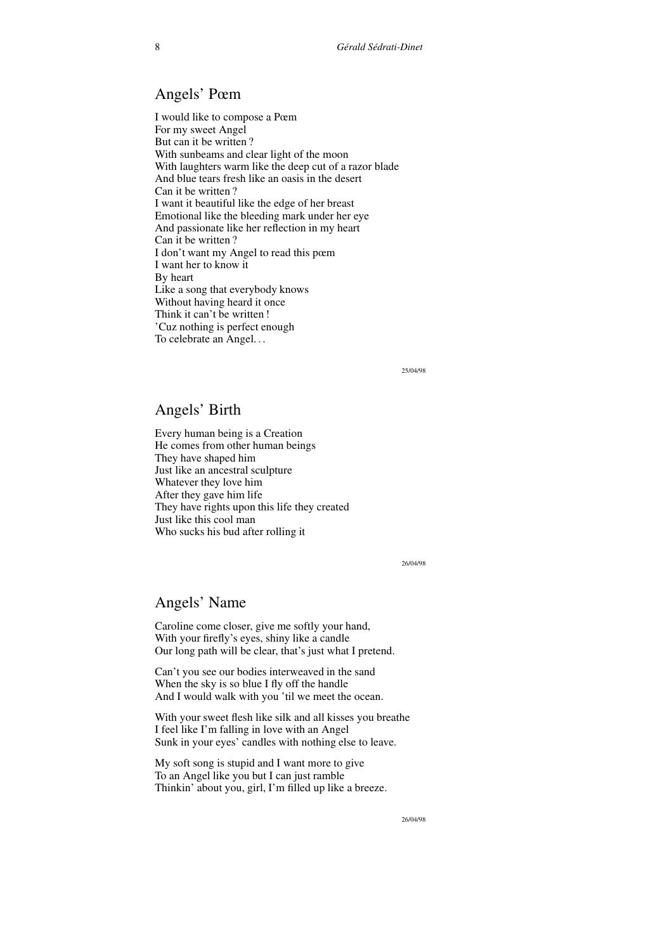## Angels' Pœm

I would like to compose a Pœm For my sweet Angel But can it be written ? With sunbeams and clear light of the moon With laughters warm like the deep cut of a razor blade And blue tears fresh like an oasis in the desert Can it be written ? I want it beautiful like the edge of her breast Emotional like the bleeding mark under her eye And passionate like her reflection in my heart Can it be written ? I don't want my Angel to read this pœm I want her to know it By heart Like a song that everybody knows Without having heard it once Think it can't be written ! 'Cuz nothing is perfect enough To celebrate an Angel. . .

25/04/98

#### Angels' Birth

Every human being is a Creation He comes from other human beings They have shaped him Just like an ancestral sculpture Whatever they love him After they gave him life They have rights upon this life they created Just like this cool man Who sucks his bud after rolling it

26/04/98

#### Angels' Name

Caroline come closer, give me softly your hand, With your firefly's eyes, shiny like a candle Our long path will be clear, that's just what I pretend.

Can't you see our bodies interweaved in the sand When the sky is so blue I fly off the handle And I would walk with you 'til we meet the ocean.

With your sweet flesh like silk and all kisses you breathe I feel like I'm falling in love with an Angel Sunk in your eyes' candles with nothing else to leave.

My soft song is stupid and I want more to give To an Angel like you but I can just ramble Thinkin' about you, girl, I'm filled up like a breeze.